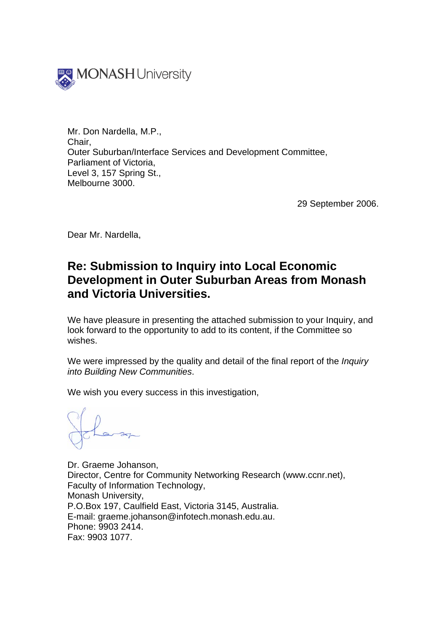

Mr. Don Nardella, M.P., Chair, Outer Suburban/Interface Services and Development Committee, Parliament of Victoria, Level 3, 157 Spring St., Melbourne 3000.

29 September 2006.

Dear Mr. Nardella,

# **Re: Submission to Inquiry into Local Economic Development in Outer Suburban Areas from Monash and Victoria Universities.**

We have pleasure in presenting the attached submission to your Inquiry, and look forward to the opportunity to add to its content, if the Committee so wishes.

We were impressed by the quality and detail of the final report of the *Inquiry into Building New Communities*.

We wish you every success in this investigation,

Dr. Graeme Johanson, Director, Centre for Community Networking Research (www.ccnr.net), Faculty of Information Technology, Monash University, P.O.Box 197, Caulfield East, Victoria 3145, Australia. E-mail: graeme.johanson@infotech.monash.edu.au. Phone: 9903 2414. Fax: 9903 1077.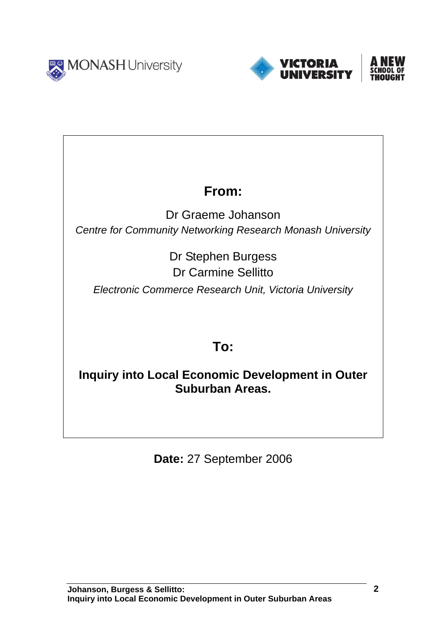



# **From:**

Dr Graeme Johanson *Centre for Community Networking Research Monash University* 

> Dr Stephen Burgess Dr Carmine Sellitto

*Electronic Commerce Research Unit, Victoria University* 

# **To:**

**Inquiry into Local Economic Development in Outer Suburban Areas.** 

**Date:** 27 September 2006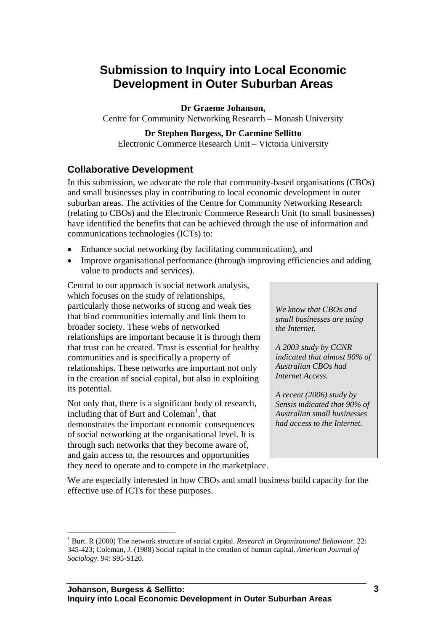# **Submission to Inquiry into Local Economic Development in Outer Suburban Areas**

## **Dr Graeme Johanson,**

Centre for Community Networking Research – Monash University

### **Dr Stephen Burgess, Dr Carmine Sellitto**

Electronic Commerce Research Unit – Victoria University

# **Collaborative Development**

In this submission, we advocate the role that community-based organisations (CBOs) and small businesses play in contributing to local economic development in outer suburban areas. The activities of the Centre for Community Networking Research (relating to CBOs) and the Electronic Commerce Research Unit (to small businesses) have identified the benefits that can be achieved through the use of information and communications technologies (ICTs) to:

- Enhance social networking (by facilitating communication), and
- Improve organisational performance (through improving efficiencies and adding value to products and services).

Central to our approach is social network analysis, which focuses on the study of relationships, particularly those networks of strong and weak ties that bind communities internally and link them to broader society. These webs of networked relationships are important because it is through them that trust can be created. Trust is essential for healthy communities and is specifically a property of relationships. These networks are important not only in the creation of social capital, but also in exploiting its potential.

Not only that, there is a significant body of research, including that of Burt and Coleman<sup>[1](#page-2-0)</sup>, that demonstrates the important economic consequences of social networking at the organisational level. It is through such networks that they become aware of, and gain access to, the resources and opportunities they need to operate and to compete in the marketplace.

 $\overline{a}$ 

*We know that CBOs and small businesses are using the Internet.* 

*A 2003 study by CCNR indicated that almost 90% of Australian CBOs had Internet Access.* 

*A recent (2006) study by Sensis indicated that 90% of Australian small businesses had access to the Internet.* 

We are especially interested in how CBOs and small business build capacity for the effective use of ICTs for these purposes.

<span id="page-2-0"></span><sup>&</sup>lt;sup>1</sup> Burt. R (2000) The network structure of social capital. *Research in Organizational Behaviour*. 22: 345-423; Coleman, J. (1988) Social capital in the creation of human capital. *American Journal of Sociology*. 94: S95-S120.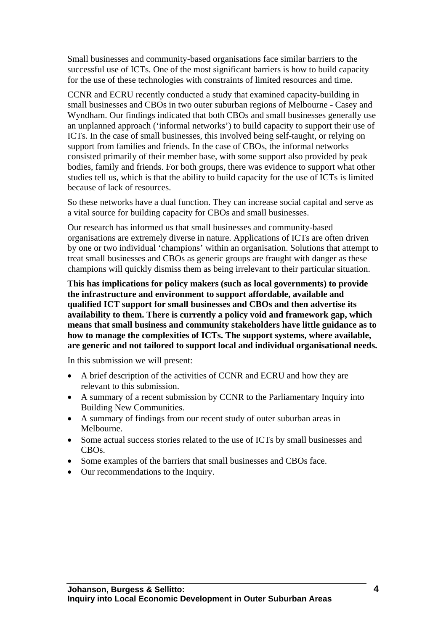Small businesses and community-based organisations face similar barriers to the successful use of ICTs. One of the most significant barriers is how to build capacity for the use of these technologies with constraints of limited resources and time.

CCNR and ECRU recently conducted a study that examined capacity-building in small businesses and CBOs in two outer suburban regions of Melbourne - Casey and Wyndham. Our findings indicated that both CBOs and small businesses generally use an unplanned approach ('informal networks') to build capacity to support their use of ICTs. In the case of small businesses, this involved being self-taught, or relying on support from families and friends. In the case of CBOs, the informal networks consisted primarily of their member base, with some support also provided by peak bodies, family and friends. For both groups, there was evidence to support what other studies tell us, which is that the ability to build capacity for the use of ICTs is limited because of lack of resources.

So these networks have a dual function. They can increase social capital and serve as a vital source for building capacity for CBOs and small businesses.

Our research has informed us that small businesses and community-based organisations are extremely diverse in nature. Applications of ICTs are often driven by one or two individual 'champions' within an organisation. Solutions that attempt to treat small businesses and CBOs as generic groups are fraught with danger as these champions will quickly dismiss them as being irrelevant to their particular situation.

**This has implications for policy makers (such as local governments) to provide the infrastructure and environment to support affordable, available and qualified ICT support for small businesses and CBOs and then advertise its availability to them. There is currently a policy void and framework gap, which means that small business and community stakeholders have little guidance as to how to manage the complexities of ICTs. The support systems, where available, are generic and not tailored to support local and individual organisational needs.** 

In this submission we will present:

- A brief description of the activities of CCNR and ECRU and how they are relevant to this submission.
- A summary of a recent submission by CCNR to the Parliamentary Inquiry into Building New Communities.
- A summary of findings from our recent study of outer suburban areas in Melbourne.
- Some actual success stories related to the use of ICTs by small businesses and CBOs.
- Some examples of the barriers that small businesses and CBOs face.
- Our recommendations to the Inquiry.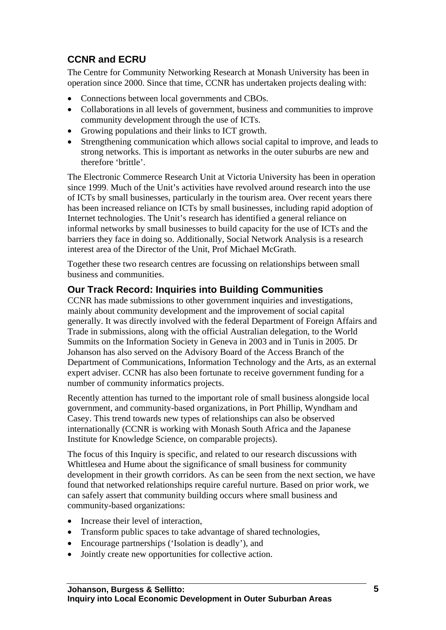# **CCNR and ECRU**

The Centre for Community Networking Research at Monash University has been in operation since 2000. Since that time, CCNR has undertaken projects dealing with:

- Connections between local governments and CBOs.
- Collaborations in all levels of government, business and communities to improve community development through the use of ICTs.
- Growing populations and their links to ICT growth.
- Strengthening communication which allows social capital to improve, and leads to strong networks. This is important as networks in the outer suburbs are new and therefore 'brittle'.

The Electronic Commerce Research Unit at Victoria University has been in operation since 1999. Much of the Unit's activities have revolved around research into the use of ICTs by small businesses, particularly in the tourism area. Over recent years there has been increased reliance on ICTs by small businesses, including rapid adoption of Internet technologies. The Unit's research has identified a general reliance on informal networks by small businesses to build capacity for the use of ICTs and the barriers they face in doing so. Additionally, Social Network Analysis is a research interest area of the Director of the Unit, Prof Michael McGrath.

Together these two research centres are focussing on relationships between small business and communities.

# **Our Track Record: Inquiries into Building Communities**

CCNR has made submissions to other government inquiries and investigations, mainly about community development and the improvement of social capital generally. It was directly involved with the federal Department of Foreign Affairs and Trade in submissions, along with the official Australian delegation, to the World Summits on the Information Society in Geneva in 2003 and in Tunis in 2005. Dr Johanson has also served on the Advisory Board of the Access Branch of the Department of Communications, Information Technology and the Arts, as an external expert adviser. CCNR has also been fortunate to receive government funding for a number of community informatics projects.

Recently attention has turned to the important role of small business alongside local government, and community-based organizations, in Port Phillip, Wyndham and Casey. This trend towards new types of relationships can also be observed internationally (CCNR is working with Monash South Africa and the Japanese Institute for Knowledge Science, on comparable projects).

The focus of this Inquiry is specific, and related to our research discussions with Whittlesea and Hume about the significance of small business for community development in their growth corridors. As can be seen from the next section, we have found that networked relationships require careful nurture. Based on prior work, we can safely assert that community building occurs where small business and community-based organizations:

- Increase their level of interaction,
- Transform public spaces to take advantage of shared technologies,
- Encourage partnerships ('Isolation is deadly'), and
- Jointly create new opportunities for collective action.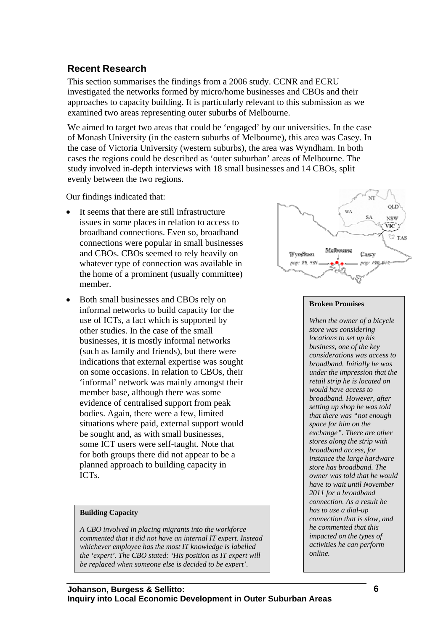# **Recent Research**

This section summarises the findings from a 2006 study. CCNR and ECRU investigated the networks formed by micro/home businesses and CBOs and their approaches to capacity building. It is particularly relevant to this submission as we examined two areas representing outer suburbs of Melbourne.

We aimed to target two areas that could be 'engaged' by our universities. In the case of Monash University (in the eastern suburbs of Melbourne), this area was Casey. In the case of Victoria University (western suburbs), the area was Wyndham. In both cases the regions could be described as 'outer suburban' areas of Melbourne. The study involved in-depth interviews with 18 small businesses and 14 CBOs, split evenly between the two regions.

Our findings indicated that:

- It seems that there are still infrastructure issues in some places in relation to access to broadband connections. Even so, broadband connections were popular in small businesses and CBOs. CBOs seemed to rely heavily on whatever type of connection was available in the home of a prominent (usually committee) member.
- Both small businesses and CBOs rely on informal networks to build capacity for the use of ICTs, a fact which is supported by other studies. In the case of the small businesses, it is mostly informal networks (such as family and friends), but there were indications that external expertise was sought on some occasions. In relation to CBOs, their 'informal' network was mainly amongst their member base, although there was some evidence of centralised support from peak bodies. Again, there were a few, limited situations where paid, external support would be sought and, as with small businesses, some ICT users were self-taught. Note that for both groups there did not appear to be a planned approach to building capacity in ICTs.

### **Building Capacity**

*A CBO involved in placing migrants into the workforce commented that it did not have an internal IT expert. Instead whichever employee has the most IT knowledge is labelled the 'expert'. The CBO stated: 'His position as IT expert will be replaced when someone else is decided to be expert'.* 



### **Broken Promises**

*When the owner of a bicycle store was considering locations to set up his business, one of the key considerations was access to broadband. Initially he was under the impression that the retail strip he is located on would have access to broadband. However, after setting up shop he was told that there was "not enough space for him on the exchange". There are other stores along the strip with broadband access, for instance the large hardware store has broadband. The owner was told that he would have to wait until November 2011 for a broadband connection. As a result he has to use a dial-up connection that is slow, and he commented that this impacted on the types of activities he can perform online.*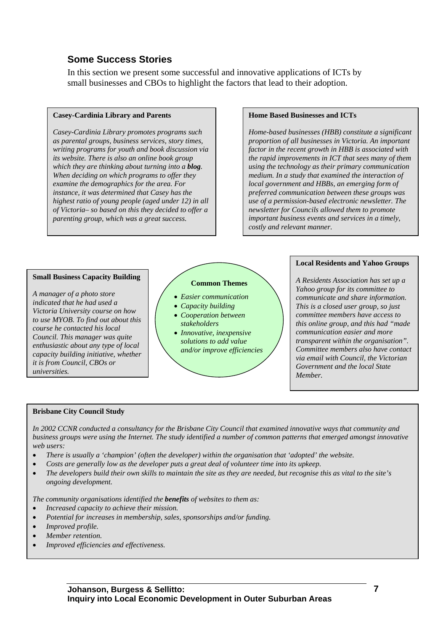# **Some Success Stories**

In this section we present some successful and innovative applications of ICTs by small businesses and CBOs to highlight the factors that lead to their adoption.

### **Casey-Cardinia Library and Parents**

*Casey-Cardinia Library promotes programs such as parental groups, business services, story times, writing programs for youth and book discussion via its website. There is also an online book group which they are thinking about turning into a blog. When deciding on which programs to offer they examine the demographics for the area. For instance, it was determined that Casey has the highest ratio of young people (aged under 12) in all of Victoria– so based on this they decided to offer a parenting group, which was a great success.*

#### **Home Based Businesses and ICTs**

*Home-based businesses (HBB) constitute a significant proportion of all businesses in Victoria. An important factor in the recent growth in HBB is associated with the rapid improvements in ICT that sees many of them using the technology as their primary communication medium. In a study that examined the interaction of local government and HBBs, an emerging form of preferred communication between these groups was use of a permission-based electronic newsletter. The newsletter for Councils allowed them to promote important business events and services in a timely, costly and relevant manner.*

#### **Small Business Capacity Building**

*A manager of a photo store indicated that he had used a Victoria University course on how to use MYOB. To find out about this course he contacted his local Council. This manager was quite enthusiastic about any type of local capacity building initiative, whether it is from Council, CBOs or universities.* 

#### **Common Themes**

- *Easier communication*
- *Capacity building*
- *Cooperation between stakeholders*
- *Innovative, inexpensive solutions to add value and/or improve efficiencies*

#### **Local Residents and Yahoo Groups**

*A Residents Association has set up a Yahoo group for its committee to communicate and share information. This is a closed user group, so just committee members have access to this online group, and this had "made communication easier and more transparent within the organisation". Committee members also have contact via email with Council, the Victorian Government and the local State Member.* 

### **Brisbane City Council Study**

*In 2002 CCNR conducted a consultancy for the Brisbane City Council that examined innovative ways that community and business groups were using the Internet. The study identified a number of common patterns that emerged amongst innovative web users:*

- *There is usually a 'champion' (often the developer) within the organisation that 'adopted' the website.*
- *Costs are generally low as the developer puts a great deal of volunteer time into its upkeep.*
- *The developers build their own skills to maintain the site as they are needed, but recognise this as vital to the site's ongoing development.*
- *The community organisations identified the benefits of websites to them as:*
- *Increased capacity to achieve their mission.*
- *Potential for increases in membership, sales, sponsorships and/or funding.*
- *Improved profile.*
- *Member retention.*
- *Improved efficiencies and effectiveness.*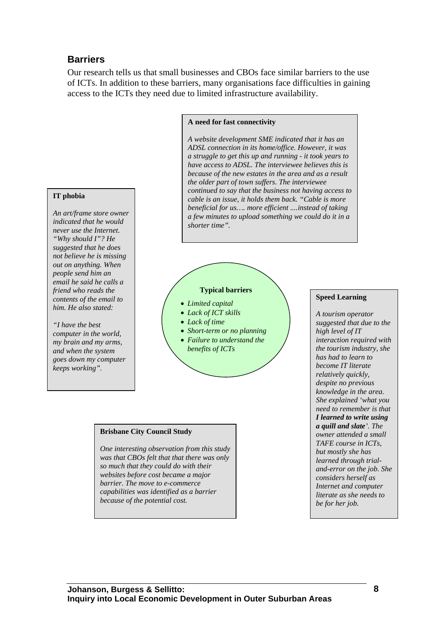# **Barriers**

Our research tells us that small businesses and CBOs face similar barriers to the use of ICTs. In addition to these barriers, many organisations face difficulties in gaining access to the ICTs they need due to limited infrastructure availability.

#### **A need for fast connectivity**

*A website development SME indicated that it has an ADSL connection in its home/office. However, it was a struggle to get this up and running - it took years to have access to ADSL. The interviewee believes this is because of the new estates in the area and as a result the older part of town suffers. The interviewee continued to say that the business not having access to cable is an issue, it holds them back. "Cable is more beneficial for us…. more efficient ....instead of taking a few minutes to upload something we could do it in a shorter time".* 

#### **IT phobia**

*An art/frame store owner indicated that he would never use the Internet. "Why should I"? He suggested that he does not believe he is missing out on anything. When people send him an email he said he calls a friend who reads the contents of the email to him. He also stated:* 

*"I have the best computer in the world, my brain and my arms, and when the system goes down my computer keeps working".* 

#### **Typical barriers**

- *Limited capital*
- *Lack of ICT skills*
- *Lack of time*
- *Short-term or no planning*
- *Failure to understand the benefits of ICTs*

#### **Brisbane City Council Study**

*One interesting observation from this study was that CBOs felt that that there was only so much that they could do with their websites before cost became a major barrier. The move to e-commerce capabilities was identified as a barrier because of the potential cost.*

#### **Speed Learning**

*A tourism operator suggested that due to the high level of IT interaction required with the tourism industry, she has had to learn to become IT literate relatively quickly, despite no previous knowledge in the area. She explained 'what you need to remember is that I learned to write using a quill and slate'. The owner attended a small TAFE course in ICTs, but mostly she has learned through trialand-error on the job. She considers herself as Internet and computer literate as she needs to be for her job.*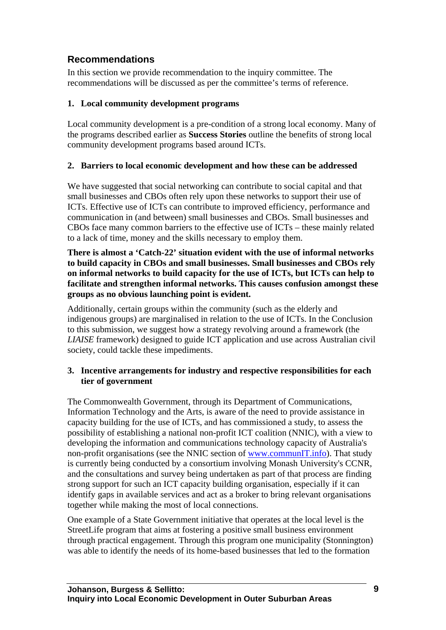# **Recommendations**

In this section we provide recommendation to the inquiry committee. The recommendations will be discussed as per the committee's terms of reference.

# **1. Local community development programs**

Local community development is a pre-condition of a strong local economy. Many of the programs described earlier as **Success Stories** outline the benefits of strong local community development programs based around ICTs.

## **2. Barriers to local economic development and how these can be addressed**

We have suggested that social networking can contribute to social capital and that small businesses and CBOs often rely upon these networks to support their use of ICTs. Effective use of ICTs can contribute to improved efficiency, performance and communication in (and between) small businesses and CBOs. Small businesses and CBOs face many common barriers to the effective use of ICTs – these mainly related to a lack of time, money and the skills necessary to employ them.

**There is almost a 'Catch-22' situation evident with the use of informal networks to build capacity in CBOs and small businesses. Small businesses and CBOs rely on informal networks to build capacity for the use of ICTs, but ICTs can help to facilitate and strengthen informal networks. This causes confusion amongst these groups as no obvious launching point is evident.** 

Additionally, certain groups within the community (such as the elderly and indigenous groups) are marginalised in relation to the use of ICTs. In the Conclusion to this submission, we suggest how a strategy revolving around a framework (the *LIAISE* framework) designed to guide ICT application and use across Australian civil society, could tackle these impediments.

## **3. Incentive arrangements for industry and respective responsibilities for each tier of government**

The Commonwealth Government, through its Department of Communications, Information Technology and the Arts, is aware of the need to provide assistance in capacity building for the use of ICTs, and has commissioned a study, to assess the possibility of establishing a national non-profit ICT coalition (NNIC), with a view to developing the information and communications technology capacity of Australia's non-profit organisations (see the NNIC section of [www.communIT.info\)](http://www.communit.info/). That study is currently being conducted by a consortium involving Monash University's CCNR, and the consultations and survey being undertaken as part of that process are finding strong support for such an ICT capacity building organisation, especially if it can identify gaps in available services and act as a broker to bring relevant organisations together while making the most of local connections.

One example of a State Government initiative that operates at the local level is the StreetLife program that aims at fostering a positive small business environment through practical engagement. Through this program one municipality (Stonnington) was able to identify the needs of its home-based businesses that led to the formation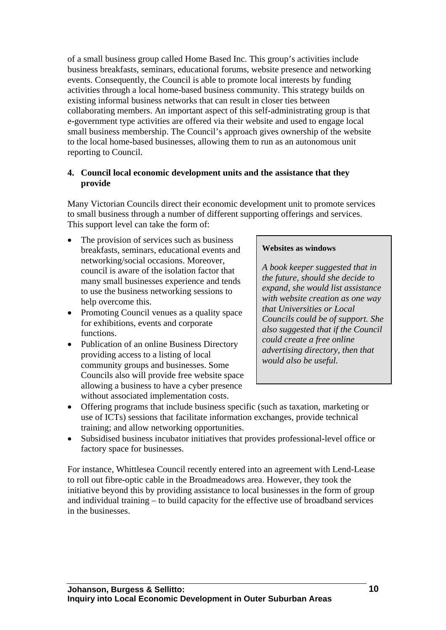of a small business group called Home Based Inc. This group's activities include business breakfasts, seminars, educational forums, website presence and networking events. Consequently, the Council is able to promote local interests by funding activities through a local home-based business community. This strategy builds on existing informal business networks that can result in closer ties between collaborating members. An important aspect of this self-administrating group is that e-government type activities are offered via their website and used to engage local small business membership. The Council's approach gives ownership of the website to the local home-based businesses, allowing them to run as an autonomous unit reporting to Council.

### **4. Council local economic development units and the assistance that they provide**

Many Victorian Councils direct their economic development unit to promote services to small business through a number of different supporting offerings and services. This support level can take the form of:

- The provision of services such as business breakfasts, seminars, educational events and networking/social occasions. Moreover, council is aware of the isolation factor that many small businesses experience and tends to use the business networking sessions to help overcome this.
- Promoting Council venues as a quality space for exhibitions, events and corporate functions.
- Publication of an online Business Directory providing access to a listing of local community groups and businesses. Some Councils also will provide free website space allowing a business to have a cyber presence without associated implementation costs.

### **Websites as windows**

*A book keeper suggested that in the future, should she decide to expand, she would list assistance with website creation as one way that Universities or Local Councils could be of support. She also suggested that if the Council could create a free online advertising directory, then that would also be useful.* 

- Offering programs that include business specific (such as taxation, marketing or use of ICTs) sessions that facilitate information exchanges, provide technical training; and allow networking opportunities.
- Subsidised business incubator initiatives that provides professional-level office or factory space for businesses.

For instance, Whittlesea Council recently entered into an agreement with Lend-Lease to roll out fibre-optic cable in the Broadmeadows area. However, they took the initiative beyond this by providing assistance to local businesses in the form of group and individual training – to build capacity for the effective use of broadband services in the businesses.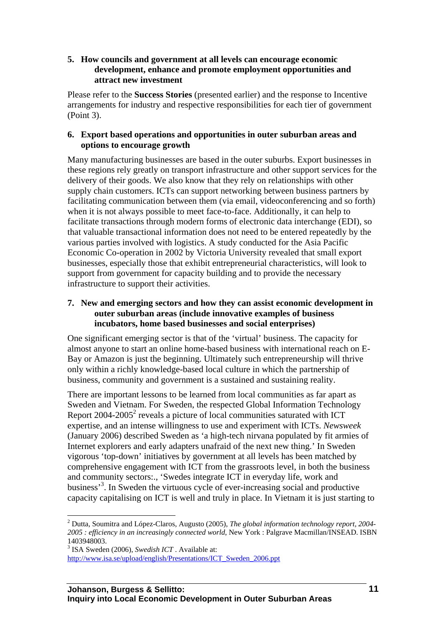### **5. How councils and government at all levels can encourage economic development, enhance and promote employment opportunities and attract new investment**

Please refer to the **Success Stories** (presented earlier) and the response to Incentive arrangements for industry and respective responsibilities for each tier of government (Point 3).

### **6. Export based operations and opportunities in outer suburban areas and options to encourage growth**

Many manufacturing businesses are based in the outer suburbs. Export businesses in these regions rely greatly on transport infrastructure and other support services for the delivery of their goods. We also know that they rely on relationships with other supply chain customers. ICTs can support networking between business partners by facilitating communication between them (via email, videoconferencing and so forth) when it is not always possible to meet face-to-face. Additionally, it can help to facilitate transactions through modern forms of electronic data interchange (EDI), so that valuable transactional information does not need to be entered repeatedly by the various parties involved with logistics. A study conducted for the Asia Pacific Economic Co-operation in 2002 by Victoria University revealed that small export businesses, especially those that exhibit entrepreneurial characteristics, will look to support from government for capacity building and to provide the necessary infrastructure to support their activities.

### **7. New and emerging sectors and how they can assist economic development in outer suburban areas (include innovative examples of business incubators, home based businesses and social enterprises)**

One significant emerging sector is that of the 'virtual' business. The capacity for almost anyone to start an online home-based business with international reach on E-Bay or Amazon is just the beginning. Ultimately such entrepreneurship will thrive only within a richly knowledge-based local culture in which the partnership of business, community and government is a sustained and sustaining reality.

There are important lessons to be learned from local communities as far apart as Sweden and Vietnam. For Sweden, the respected Global Information Technology Report  $2004$  $2004$ - $2005<sup>2</sup>$  reveals a picture of local communities saturated with ICT expertise, and an intense willingness to use and experiment with ICTs. *Newsweek*  (January 2006) described Sweden as 'a high-tech nirvana populated by fit armies of Internet explorers and early adapters unafraid of the next new thing.' In Sweden vigorous 'top-down' initiatives by government at all levels has been matched by comprehensive engagement with ICT from the grassroots level, in both the business and community sectors:., 'Swedes integrate ICT in everyday life, work and business<sup>3</sup>[.](#page-10-1) In Sweden the virtuous cycle of ever-increasing social and productive capacity capitalising on ICT is well and truly in place. In Vietnam it is just starting to

<span id="page-10-0"></span> 2 Dutta, Soumitra and López-Claros, Augusto (2005), *The global information technology report, 2004- 2005 : efficiency in an increasingly connected world*, New York : Palgrave Macmillan/INSEAD. ISBN 1403948003.

<span id="page-10-1"></span><sup>&</sup>lt;sup>3</sup> ISA Sweden (2006), *Swedish ICT*, Available at:

[http://www.isa.se/upload/english/Presentations/ICT\\_Sweden\\_2006.ppt](http://www.isa.se/upload/english/Presentations/ICT_Sweden_2006.ppt)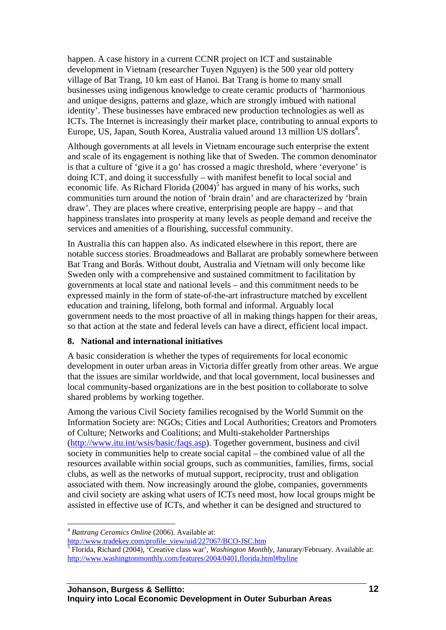happen. A case history in a current CCNR project on ICT and sustainable development in Vietnam (researcher Tuyen Nguyen) is the 500 year old pottery village of Bat Trang, 10 km east of Hanoi. Bat Trang is home to many small businesses using indigenous knowledge to create ceramic products of 'harmonious and unique designs, patterns and glaze, which are strongly imbued with national identity'. These businesses have embraced new production technologies as well as ICTs. The Internet is increasingly their market place, contributing to annual exports to Europe, US, Japan, South Korea, Australia valued around 13 million US dollars<sup>[4](#page-11-0)</sup>.

Although governments at all levels in Vietnam encourage such enterprise the extent and scale of its engagement is nothing like that of Sweden. The common denominator is that a culture of 'give it a go' has crossed a magic threshold, where 'everyone' is doing ICT, and doing it successfully – with manifest benefit to local social and economic life. As Richard Florida  $(2004)^5$  $(2004)^5$  has argued in many of his works, such communities turn around the notion of 'brain drain' and are characterized by 'brain draw'. They are places where creative, enterprising people are happy – and that happiness translates into prosperity at many levels as people demand and receive the services and amenities of a flourishing, successful community.

In Australia this can happen also. As indicated elsewhere in this report, there are notable success stories. Broadmeadows and Ballarat are probably somewhere between Bat Trang and Borås. Without doubt, Australia and Vietnam will only become like Sweden only with a comprehensive and sustained commitment to facilitation by governments at local state and national levels – and this commitment needs to be expressed mainly in the form of state-of-the-art infrastructure matched by excellent education and training, lifelong, both formal and informal. Arguably local government needs to the most proactive of all in making things happen for their areas, so that action at the state and federal levels can have a direct, efficient local impact.

### **8. National and international initiatives**

A basic consideration is whether the types of requirements for local economic development in outer urban areas in Victoria differ greatly from other areas. We argue that the issues are similar worldwide, and that local government, local businesses and local community-based organizations are in the best position to collaborate to solve shared problems by working together.

Among the various Civil Society families recognised by the World Summit on the Information Society are: NGOs; Cities and Local Authorities; Creators and Promoters of Culture; Networks and Coalitions; and Multi-stakeholder Partnerships ([http://www.itu.int/wsis/basic/faqs.asp\)](http://www.itu.int/wsis/basic/faqs.asp). Together government, business and civil society in communities help to create social capital – the combined value of all the resources available within social groups, such as communities, families, firms, social clubs, as well as the networks of mutual support, reciprocity, trust and obligation associated with them. Now increasingly around the globe, companies, governments and civil society are asking what users of ICTs need most, how local groups might be assisted in effective use of ICTs, and whether it can be designed and structured to

 $\overline{a}$ 

<span id="page-11-0"></span><sup>4</sup> *Battrang Ceramics Online* (2006). Available at:

[http://www.tradekey.com/profile\\_view/uid/227067/BCO-JSC.htm](http://www.tradekey.com/profile_view/uid/227067/BCO-JSC.htm) [5](http://www.tradekey.com/profile_view/uid/227067/BCO-JSC.htm)

<span id="page-11-1"></span>Florida, Richard (2004), 'Creative class war', *Washington Monthly*, Janurary/February. Available at: http://www.washingtonmonthly.com/features/2004/0401.florida.html#byline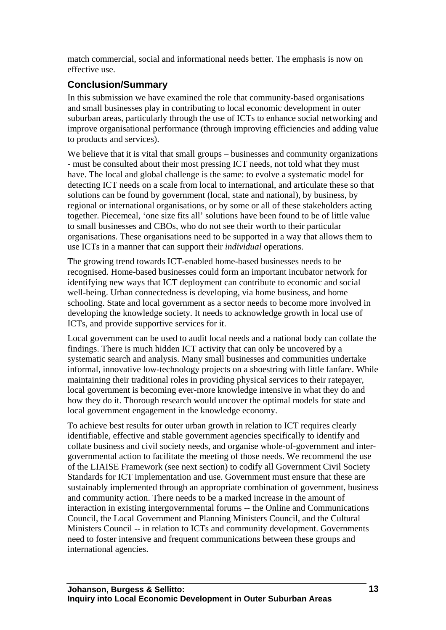match commercial, social and informational needs better. The emphasis is now on effective use.

# **Conclusion/Summary**

In this submission we have examined the role that community-based organisations and small businesses play in contributing to local economic development in outer suburban areas, particularly through the use of ICTs to enhance social networking and improve organisational performance (through improving efficiencies and adding value to products and services).

We believe that it is vital that small groups – businesses and community organizations - must be consulted about their most pressing ICT needs, not told what they must have. The local and global challenge is the same: to evolve a systematic model for detecting ICT needs on a scale from local to international, and articulate these so that solutions can be found by government (local, state and national), by business, by regional or international organisations, or by some or all of these stakeholders acting together. Piecemeal, 'one size fits all' solutions have been found to be of little value to small businesses and CBOs, who do not see their worth to their particular organisations. These organisations need to be supported in a way that allows them to use ICTs in a manner that can support their *individual* operations.

The growing trend towards ICT-enabled home-based businesses needs to be recognised. Home-based businesses could form an important incubator network for identifying new ways that ICT deployment can contribute to economic and social well-being. Urban connectedness is developing, via home business, and home schooling. State and local government as a sector needs to become more involved in developing the knowledge society. It needs to acknowledge growth in local use of ICTs, and provide supportive services for it.

Local government can be used to audit local needs and a national body can collate the findings. There is much hidden ICT activity that can only be uncovered by a systematic search and analysis. Many small businesses and communities undertake informal, innovative low-technology projects on a shoestring with little fanfare. While maintaining their traditional roles in providing physical services to their ratepayer, local government is becoming ever-more knowledge intensive in what they do and how they do it. Thorough research would uncover the optimal models for state and local government engagement in the knowledge economy.

To achieve best results for outer urban growth in relation to ICT requires clearly identifiable, effective and stable government agencies specifically to identify and collate business and civil society needs, and organise whole-of-government and intergovernmental action to facilitate the meeting of those needs. We recommend the use of the LIAISE Framework (see next section) to codify all Government Civil Society Standards for ICT implementation and use. Government must ensure that these are sustainably implemented through an appropriate combination of government, business and community action. There needs to be a marked increase in the amount of interaction in existing intergovernmental forums -- the Online and Communications Council, the Local Government and Planning Ministers Council, and the Cultural Ministers Council -- in relation to ICTs and community development. Governments need to foster intensive and frequent communications between these groups and international agencies.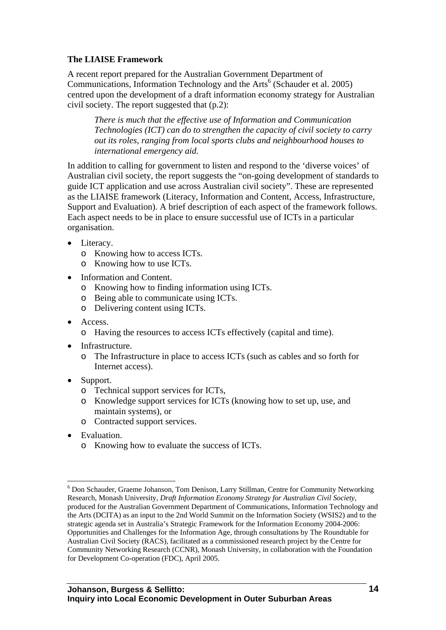## **The LIAISE Framework**

A recent report prepared for the Australian Government Department of Communications, Information Technology and the Arts<sup>[6](#page-13-0)</sup> (Schauder et al. 2005) centred upon the development of a draft information economy strategy for Australian civil society. The report suggested that (p.2):

*There is much that the effective use of Information and Communication Technologies (ICT) can do to strengthen the capacity of civil society to carry out its roles, ranging from local sports clubs and neighbourhood houses to international emergency aid.* 

In addition to calling for government to listen and respond to the 'diverse voices' of Australian civil society, the report suggests the "on-going development of standards to guide ICT application and use across Australian civil society". These are represented as the LIAISE framework (Literacy, Information and Content, Access, Infrastructure, Support and Evaluation). A brief description of each aspect of the framework follows. Each aspect needs to be in place to ensure successful use of ICTs in a particular organisation.

- Literacy.
	- o Knowing how to access ICTs.
	- o Knowing how to use ICTs.
- Information and Content.
	- o Knowing how to finding information using ICTs.
	- o Being able to communicate using ICTs.
	- o Delivering content using ICTs.
- Access.
	- o Having the resources to access ICTs effectively (capital and time).
- Infrastructure.
	- o The Infrastructure in place to access ICTs (such as cables and so forth for Internet access).
- Support.
	- o Technical support services for ICTs,
	- o Knowledge support services for ICTs (knowing how to set up, use, and maintain systems), or
	- o Contracted support services.
- Evaluation.

 $\overline{a}$ 

o Knowing how to evaluate the success of ICTs.

<span id="page-13-0"></span><sup>&</sup>lt;sup>6</sup> Don Schauder, Graeme Johanson, Tom Denison, Larry Stillman, Centre for Community Networking Research, Monash University, *Draft Information Economy Strategy for Australian Civil Society*, produced for the Australian Government Department of Communications, Information Technology and the Arts (DCITA) as an input to the 2nd World Summit on the Information Society (WSIS2) and to the strategic agenda set in Australia's Strategic Framework for the Information Economy 2004-2006: Opportunities and Challenges for the Information Age, through consultations by The Roundtable for Australian Civil Society (RACS), facilitated as a commissioned research project by the Centre for Community Networking Research (CCNR), Monash University, in collaboration with the Foundation for Development Co-operation (FDC), April 2005.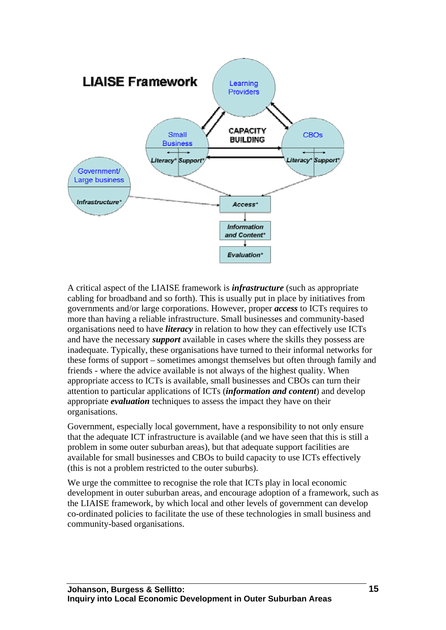

A critical aspect of the LIAISE framework is *infrastructure* (such as appropriate cabling for broadband and so forth). This is usually put in place by initiatives from governments and/or large corporations. However, proper *access* to ICTs requires to more than having a reliable infrastructure. Small businesses and community-based organisations need to have *literacy* in relation to how they can effectively use ICTs and have the necessary *support* available in cases where the skills they possess are inadequate. Typically, these organisations have turned to their informal networks for these forms of support – sometimes amongst themselves but often through family and friends - where the advice available is not always of the highest quality. When appropriate access to ICTs is available, small businesses and CBOs can turn their attention to particular applications of ICTs (*information and content*) and develop appropriate *evaluation* techniques to assess the impact they have on their organisations.

Government, especially local government, have a responsibility to not only ensure that the adequate ICT infrastructure is available (and we have seen that this is still a problem in some outer suburban areas), but that adequate support facilities are available for small businesses and CBOs to build capacity to use ICTs effectively (this is not a problem restricted to the outer suburbs).

We urge the committee to recognise the role that ICTs play in local economic development in outer suburban areas, and encourage adoption of a framework, such as the LIAISE framework, by which local and other levels of government can develop co-ordinated policies to facilitate the use of these technologies in small business and community-based organisations.